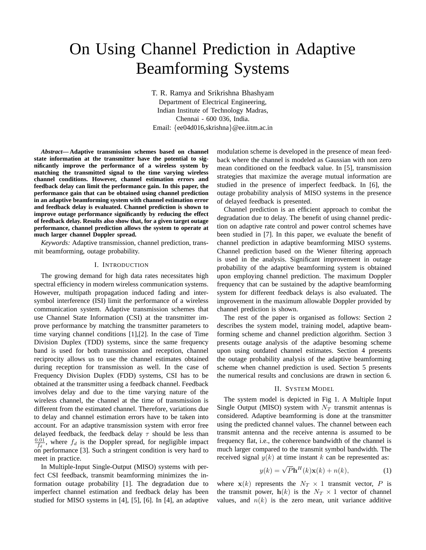# On Using Channel Prediction in Adaptive Beamforming Systems

T. R. Ramya and Srikrishna Bhashyam Department of Electrical Engineering, Indian Institute of Technology Madras, Chennai - 600 036, India. Email: {ee04d016,skrishna}@ee.iitm.ac.in

*Abstract***—Adaptive transmission schemes based on channel state information at the transmitter have the potential to significantly improve the performance of a wireless system by matching the transmitted signal to the time varying wireless channel conditions. However, channel estimation errors and feedback delay can limit the performance gain. In this paper, the performance gain that can be obtained using channel prediction in an adaptive beamforming system with channel estimation error and feedback delay is evaluated. Channel prediction is shown to improve outage performance significantly by reducing the effect of feedback delay. Results also show that, for a given target outage performance, channel prediction allows the system to operate at much larger channel Doppler spread.**

*Keywords:* Adaptive transmission, channel prediction, transmit beamforming, outage probability.

#### I. INTRODUCTION

The growing demand for high data rates necessitates high spectral efficiency in modern wireless communication systems. However, multipath propagation induced fading and intersymbol interference (ISI) limit the performance of a wireless communication system. Adaptive transmission schemes that use Channel State Information (CSI) at the transmitter improve performance by matching the transmitter parameters to time varying channel conditions [1],[2]. In the case of Time Division Duplex (TDD) systems, since the same frequency band is used for both transmission and reception, channel reciprocity allows us to use the channel estimates obtained during reception for transmission as well. In the case of Frequency Division Duplex (FDD) systems, CSI has to be obtained at the transmitter using a feedback channel. Feedback involves delay and due to the time varying nature of the wireless channel, the channel at the time of transmission is different from the estimated channel. Therefore, variations due to delay and channel estimation errors have to be taken into account. For an adaptive transmission system with error free delayed feedback, the feedback delay  $\tau$  should be less than  $\frac{0.01}{f_d}$ , where  $f_d$  is the Doppler spread, for negligible impact on performance [3]. Such a stringent condition is very hard to meet in practice.

In Multiple-Input Single-Output (MISO) systems with perfect CSI feedback, transmit beamforming minimizes the information outage probability [1]. The degradation due to imperfect channel estimation and feedback delay has been studied for MISO systems in [4], [5], [6]. In [4], an adaptive modulation scheme is developed in the presence of mean feedback where the channel is modeled as Gaussian with non zero mean conditioned on the feedback value. In [5], transmission strategies that maximize the average mutual information are studied in the presence of imperfect feedback. In [6], the outage probability analysis of MISO systems in the presence of delayed feedback is presented.

Channel prediction is an efficient approach to combat the degradation due to delay. The benefit of using channel prediction on adaptive rate control and power control schemes have been studied in [7]. In this paper, we evaluate the benefit of channel prediction in adaptive beamforming MISO systems. Channel prediction based on the Wiener filtering approach is used in the analysis. Significant improvement in outage probability of the adaptive beamforming system is obtained upon employing channel prediction. The maximum Doppler frequency that can be sustained by the adaptive beamforming system for different feedback delays is also evaluated. The improvement in the maximum allowable Doppler provided by channel prediction is shown.

The rest of the paper is organised as follows: Section 2 describes the system model, training model, adaptive beamforming scheme and channel prediction algorithm. Section 3 presents outage analysis of the adaptive besoming scheme upon using outdated channel estimates. Section 4 presents the outage probability analysis of the adaptive beamforming scheme when channel prediction is used. Section 5 presents the numerical results and conclusions are drawn in section 6.

# II. SYSTEM MODEL

The system model is depicted in Fig 1. A Multiple Input Single Output (MISO) system with  $N_T$  transmit antennas is considered. Adaptive beamforming is done at the transmitter using the predicted channel values. The channel between each transmit antenna and the receive antenna is assumed to be frequency flat, i.e., the coherence bandwidth of the channel is much larger compared to the transmit symbol bandwidth. The received signal  $y(k)$  at time instant k can be represented as:

$$
y(k) = \sqrt{P} \mathbf{h}^{H}(k) \mathbf{x}(k) + n(k),
$$
 (1)

where  $x(k)$  represents the  $N_T \times 1$  transmit vector, P is the transmit power,  $h(k)$  is the  $N_T \times 1$  vector of channel values, and  $n(k)$  is the zero mean, unit variance additive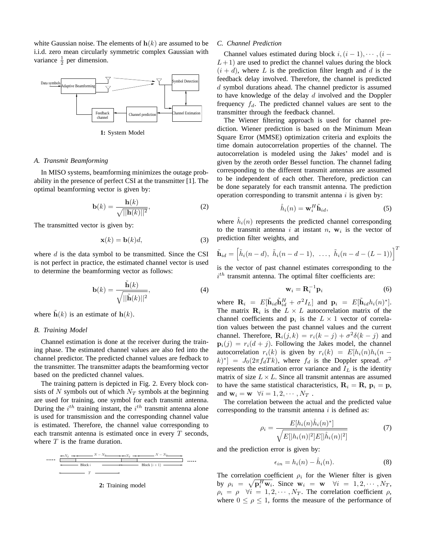white Gaussian noise. The elements of  $h(k)$  are assumed to be i.i.d. zero mean circularly symmetric complex Gaussian with variance  $\frac{1}{2}$  per dimension.



**1:** System Model

## *A. Transmit Beamforming*

In MISO systems, beamforming minimizes the outage probability in the presence of perfect CSI at the transmitter [1]. The optimal beamforming vector is given by:

$$
\mathbf{b}(k) = \frac{\mathbf{h}(k)}{\sqrt{||\mathbf{h}(k)||^2}},\tag{2}
$$

The transmitted vector is given by:

$$
\mathbf{x}(k) = \mathbf{b}(k)d,\tag{3}
$$

where  $d$  is the data symbol to be transmitted. Since the CSI is not perfect in practice, the estimated channel vector is used to determine the beamforming vector as follows:

$$
\mathbf{b}(k) = \frac{\tilde{\mathbf{h}}(k)}{\sqrt{||\tilde{\mathbf{h}}(k)||^2}},
$$
(4)

where  $\mathbf{h}(k)$  is an estimate of  $\mathbf{h}(k)$ .

# *B. Training Model*

Channel estimation is done at the receiver during the training phase. The estimated channel values are also fed into the channel predictor. The predicted channel values are fedback to the transmitter. The transmitter adapts the beamforming vector based on the predicted channel values.

The training pattern is depicted in Fig. 2. Every block consists of N symbols out of which  $N_T$  symbols at the beginning are used for training, one symbol for each transmit antenna. During the  $i^{th}$  training instant, the  $i^{th}$  transmit antenna alone is used for transmission and the corresponding channel value is estimated. Therefore, the channel value corresponding to each transmit antenna is estimated once in every  $T$  seconds, where  $T$  is the frame duration.





## *C. Channel Prediction*

Channel values estimated during block  $i,(i-1),\cdots,(i-1)$  $L+1$ ) are used to predict the channel values during the block  $(i + d)$ , where L is the prediction filter length and d is the feedback delay involved. Therefore, the channel is predicted d symbol durations ahead. The channel predictor is assumed to have knowledge of the delay  $d$  involved and the Doppler frequency  $f_d$ . The predicted channel values are sent to the transmitter through the feedback channel.

The Wiener filtering approach is used for channel prediction. Wiener prediction is based on the Minimum Mean Square Error (MMSE) optimization criteria and exploits the time domain autocorrelation properties of the channel. The autocorrelation is modeled using the Jakes' model and is given by the zeroth order Bessel function. The channel fading corresponding to the different transmit antennas are assumed to be independent of each other. Therefore, prediction can be done separately for each transmit antenna. The prediction operation corresponding to transmit antenna  $i$  is given by:

$$
\hat{h}_i(n) = \mathbf{w}_i^H \tilde{\mathbf{h}}_{id},\tag{5}
$$

where  $\hat{h}_i(n)$  represents the predicted channel corresponding to the transmit antenna i at instant n,  $w_i$  is the vector of prediction filter weights, and

$$
\tilde{\mathbf{h}}_{id} = \left[\tilde{h}_i(n-d), \ \tilde{h}_i(n-d-1), \ \ldots, \ \tilde{h}_i(n-d-(L-1))\right]^T
$$

is the vector of past channel estimates corresponding to the  $i<sup>th</sup>$  transmit antenna. The optimal filter coefficients are:

$$
\mathbf{w}_i = \mathbf{R}_i^{-1} \mathbf{p}_i \tag{6}
$$

where  $\mathbf{R}_i = E[\tilde{\mathbf{h}}_{id}\tilde{\mathbf{h}}_{id}^H + \sigma^2 I_L]$  and  $\mathbf{p}_i = E[\tilde{\mathbf{h}}_{id}h_i(n)^*].$ The matrix  $\mathbf{R}_i$  is the  $L \times L$  autocorrelation matrix of the channel coefficients and  $\mathbf{p}_i$  is the  $L \times 1$  vector of correlation values between the past channel values and the current channel. Therefore,  $\mathbf{R}_i(j,k) = r_i(k-j) + \sigma^2 \delta(k-j)$  and  $\mathbf{p}_i(j) = r_i(d+j)$ . Following the Jakes model, the channel autocorrelation  $r_i(k)$  is given by  $r_i(k) = E[h_i(n)h_i(n (k)^*$ ] =  $J_0(2\pi f_d T k)$ , where  $f_d$  is the Doppler spread.  $\sigma^2$ represents the estimation error variance and  $I_L$  is the identity matrix of size  $L \times L$ . Since all transmit antennas are assumed to have the same statistical characteristics,  $\mathbf{R}_i = \mathbf{R}$ ,  $\mathbf{p}_i = \mathbf{p}$ , and  $\mathbf{w}_i = \mathbf{w} \quad \forall i = 1, 2, \cdots, N_T$ .

The correlation between the actual and the predicted value corresponding to the transmit antenna  $i$  is defined as:

$$
\rho_i = \frac{E[h_i(n)\hat{h}_i(n)^*]}{\sqrt{E[|h_i(n)|^2]E[|\hat{h}_i(n)|^2]}}
$$
(7)

and the prediction error is given by:

$$
\epsilon_{in} = h_i(n) - \hat{h}_i(n). \tag{8}
$$

The correlation coefficient  $\rho_i$  for the Wiener filter is given by  $\rho_i = \sqrt{\mathbf{p}_i^H \mathbf{w}_i}$ . Since  $\mathbf{w}_i = \mathbf{w}$   $\forall i = 1, 2, \cdots, N_T$ ,  $\rho_i = \rho \quad \forall i = 1, 2, \cdots, N_T$ . The correlation coefficient  $\rho$ , where  $0 \le \rho \le 1$ , forms the measure of the performance of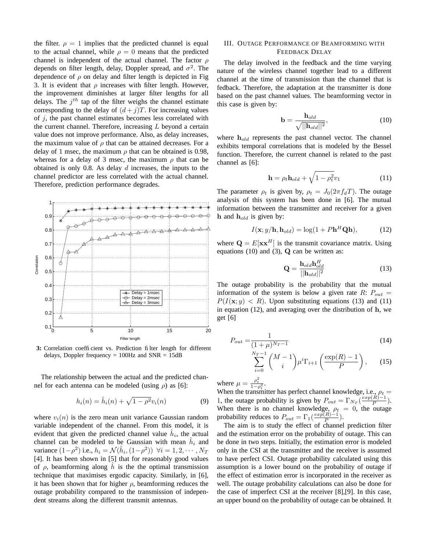the filter.  $\rho = 1$  implies that the predicted channel is equal to the actual channel, while  $\rho = 0$  means that the predicted channel is independent of the actual channel. The factor  $\rho$ depends on filter length, delay, Doppler spread, and  $\sigma^2$ . The dependence of  $\rho$  on delay and filter length is depicted in Fig 3. It is evident that  $\rho$  increases with filter length. However, the improvement diminishes at larger filter lengths for all delays. The  $j<sup>th</sup>$  tap of the filter weighs the channel estimate corresponding to the delay of  $(d+j)T$ . For increasing values of  $j$ , the past channel estimates becomes less correlated with the current channel. Therefore, increasing  $L$  beyond a certain value does not improve performance. Also, as delay increases, the maximum value of  $\rho$  that can be attained decreases. For a delay of 1 msec, the maximum  $\rho$  that can be obtained is 0.98, whereas for a delay of 3 msec, the maximum  $\rho$  that can be obtained is only 0.8. As delay  $d$  increases, the inputs to the channel predictor are less correlated with the actual channel. Therefore, prediction performance degrades.



3: Correlation coefficient vs. Prediction filter length for different delays, Doppler frequency =  $100\text{Hz}$  and  $\text{SNR} = 15\text{dB}$ 

The relationship between the actual and the predicted channel for each antenna can be modeled (using  $\rho$ ) as [6]:

$$
h_i(n) = \hat{h}_i(n) + \sqrt{1 - \rho^2} v_i(n)
$$
 (9)

where  $v_i(n)$  is the zero mean unit variance Gaussian random variable independent of the channel. From this model, it is evident that given the predicted channel value  $\hat{h}_i$ , the actual channel can be modeled to be Gaussian with mean  $\hat{h}_i$  and variance  $(1-\rho^2)$  i.e.,  $h_i = \mathcal{N}(\hat{h}_i, (1-\rho^2))$   $\forall i = 1, 2, \cdots, N_T$ [4]. It has been shown in [5] that for reasonably good values of  $\rho$ , beamforming along h is the the optimal transmission technique that maximises ergodic capacity. Similarly, in [6], it has been shown that for higher  $\rho$ , beamforming reduces the outage probability compared to the transmission of independent streams along the different transmit antennas.

## III. OUTAGE PERFORMANCE OF BEAMFORMING WITH FEEDBACK DELAY

The delay involved in the feedback and the time varying nature of the wireless channel together lead to a different channel at the time of transmission than the channel that is fedback. Therefore, the adaptation at the transmitter is done based on the past channel values. The beamforming vector in this case is given by:

$$
\mathbf{b} = \frac{\mathbf{h}_{old}}{\sqrt{||\mathbf{h}_{old}||^2}},\tag{10}
$$

where  $h_{old}$  represents the past channel vector. The channel exhibits temporal correlations that is modeled by the Bessel function. Therefore, the current channel is related to the past channel as [6]:

$$
\mathbf{h} = \rho_t \mathbf{h}_{old} + \sqrt{1 - \rho_t^2} v_1 \tag{11}
$$

The parameter  $\rho_t$  is given by,  $\rho_t = J_0(2\pi f_dT)$ . The outage analysis of this system has been done in [6]. The mutual information between the transmitter and receiver for a given h and  $h_{old}$  is given by:

$$
I(\mathbf{x}; y/\mathbf{h}, \mathbf{h}_{old}) = \log(1 + P\mathbf{h}^H \mathbf{Q} \mathbf{h}), \tag{12}
$$

where  $\mathbf{Q} = E[\mathbf{x} \mathbf{x}^H]$  is the transmit covariance matrix. Using equations (10) and (3),  $Q$  can be written as:

$$
\mathbf{Q} = \frac{\mathbf{h}_{old}\mathbf{h}_{old}^H}{||\mathbf{h}_{old}||^2}
$$
 (13)

The outage probability is the probability that the mutual information of the system is below a given rate  $R: P_{out} =$  $P(I(\mathbf{x}; y) < R)$ . Upon substituting equations (13) and (11) in equation (12), and averaging over the distribution of h, we get [6]

$$
P_{out} = \frac{1}{(1+\mu)^{N_T - 1}}\tag{14}
$$

$$
\sum_{i=0}^{N_T-1} {M-1 \choose i} \mu^i \Gamma_{i+1} \left( \frac{\exp(R)-1}{P} \right), \qquad (15)
$$

where  $\mu = \frac{\rho_t^2}{1 - \rho_t^2}$ .

When the transmitter has perfect channel knowledge, i.e.,  $\rho_t =$ 1, the outage probability is given by  $P_{out} = \Gamma_{N_T} \left( \frac{exp(R)-1}{P} \right)$  $\frac{R^{n-1}}{P}$ ). When there is no channel knowledge,  $\rho_t = 0$ , the outage probability reduces to  $P_{out} = \Gamma_1(\frac{exp(R)-1}{P})$  $\frac{R-1}{P}$ ).

The aim is to study the effect of channel prediction filter and the estimation error on the probability of outage. This can be done in two steps. Initially, the estimation error is modeled only in the CSI at the transmitter and the receiver is assumed to have perfect CSI. Outage probability calculated using this assumption is a lower bound on the probability of outage if the effect of estimation error is incorporated in the receiver as well. The outage probability calculations can also be done for the case of imperfect CSI at the receiver [8],[9]. In this case, an upper bound on the probability of outage can be obtained. It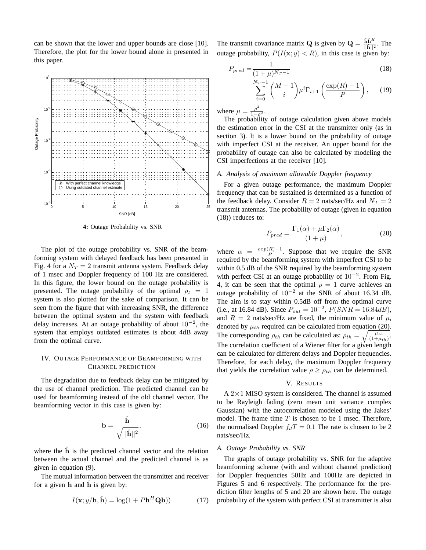can be shown that the lower and upper bounds are close [10]. Therefore, the plot for the lower bound alone in presented in this paper.



**4:** Outage Probability vs. SNR

The plot of the outage probability vs. SNR of the beamforming system with delayed feedback has been presented in Fig. 4 for a  $N_T = 2$  transmit antenna system. Feedback delay of 1 msec and Doppler frequency of 100 Hz are considered. In this figure, the lower bound on the outage probability is presented. The outage probability of the optimal  $\rho_t = 1$ system is also plotted for the sake of comparison. It can be seen from the figure that with increasing SNR, the difference between the optimal system and the system with feedback delay increases. At an outage probability of about  $10^{-2}$ , the system that employs outdated estimates is about 4dB away from the optimal curve.

# IV. OUTAGE PERFORMANCE OF BEAMFORMING WITH CHANNEL PREDICTION

The degradation due to feedback delay can be mitigated by the use of channel prediction. The predicted channel can be used for beamforming instead of the old channel vector. The beamforming vector in this case is given by:

$$
\mathbf{b} = \frac{\hat{\mathbf{h}}}{\sqrt{||\hat{\mathbf{h}}||^2}},\tag{16}
$$

where the  $\hat{h}$  is the predicted channel vector and the relation between the actual channel and the predicted channel is as given in equation (9).

The mutual information between the transmitter and receiver for a given  $h$  and  $\hat{h}$  is given by:

$$
I(\mathbf{x}; y/\mathbf{h}, \hat{\mathbf{h}}) = \log(1 + P\mathbf{h}^H \mathbf{Q}\mathbf{h}))
$$
 (17)

The transmit covariance matrix **Q** is given by  $\mathbf{Q} = \frac{\hat{\mathbf{h}}\hat{\mathbf{h}}^H}{\|\hat{\mathbf{h}}\|^2}$  $\frac{\mathbf{h}\mathbf{h}^{\prime\prime}}{||\hat{\mathbf{h}}||^2}$ . The outage probability,  $P(I(\mathbf{x}; y) < R)$ , in this case is given by:

$$
P_{pred} = \frac{1}{(1+\mu)^{N_T - 1}}\tag{18}
$$

$$
\sum_{i=0}^{N_T-1} {M-1 \choose i} \mu^i \Gamma_{i+1} \left( \frac{\exp(R)-1}{P} \right), \qquad (19)
$$

where  $\mu = \frac{\rho^2}{1-\rho^2}$ .

The probability of outage calculation given above models the estimation error in the CSI at the transmitter only (as in section 3). It is a lower bound on the probability of outage with imperfect CSI at the receiver. An upper bound for the probability of outage can also be calculated by modeling the CSI imperfections at the receiver [10].

## *A. Analysis of maximum allowable Doppler frequency*

For a given outage performance, the maximum Doppler frequency that can be sustained is determined as a function of the feedback delay. Consider  $R = 2$  nats/sec/Hz and  $N_T = 2$ transmit antennas. The probability of outage (given in equation (18)) reduces to:

$$
P_{pred} = \frac{\Gamma_1(\alpha) + \mu \Gamma_2(\alpha)}{(1 + \mu)},
$$
\n(20)

where  $\alpha = \frac{exp(R)-1}{P}$  $\frac{R}{P}$ . Suppose that we require the SNR required by the beamforming system with imperfect CSI to be within 0.5 dB of the SNR required by the beamforming system with perfect CSI at an outage probability of  $10^{-2}$ . From Fig. 4, it can be seen that the optimal  $\rho = 1$  curve achieves an outage probability of  $10^{-2}$  at the SNR of about 16.34 dB. The aim is to stay within 0.5dB off from the optimal curve (i.e., at 16.84 dB). Since  $P_{out} = 10^{-2}$ ,  $P(SNR = 16.84dB)$ , and  $R = 2$  nats/sec/Hz are fixed, the minimum value of  $\mu$ , denoted by  $\mu_{th}$  required can be calculated from equation (20). The corresponding  $\rho_{th}$  can be calculated as:  $\rho_{th} = \sqrt{\frac{\mu_{th}}{(1+\mu_{th})}}$ . The correlation coefficient of a Wiener filter for a given length can be calculated for different delays and Doppler frequencies. Therefore, for each delay, the maximum Doppler frequency that yields the correlation value  $\rho \geq \rho_{th}$  can be determined.

#### V. RESULTS

A  $2 \times 1$  MISO system is considered. The channel is assumed to be Rayleigh fading (zero mean unit variance complex Gaussian) with the autocorrelation modeled using the Jakes' model. The frame time  $T$  is chosen to be 1 msec. Therefore, the normalised Doppler  $f_dT = 0.1$  The rate is chosen to be 2 nats/sec/Hz.

#### *A. Outage Probability vs. SNR*

The graphs of outage probability vs. SNR for the adaptive beamforming scheme (with and without channel prediction) for Doppler frequencies 50Hz and 100Hz are depicted in Figures 5 and 6 respectively. The performance for the prediction filter lengths of 5 and 20 are shown here. The outage probability of the system with perfect CSI at transmitter is also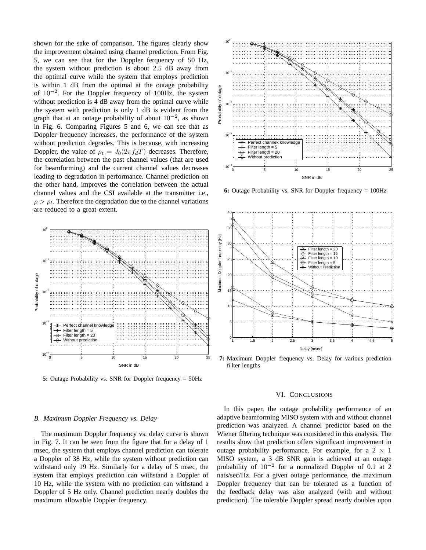shown for the sake of comparison. The figures clearly show the improvement obtained using channel prediction. From Fig. 5, we can see that for the Doppler ferquency of 50 Hz, the system without prediction is about 2.5 dB away from the optimal curve while the system that employs prediction is within 1 dB from the optimal at the outage probability of 10−<sup>2</sup> . For the Doppler frequency of 100Hz, the system without prediction is 4 dB away from the optimal curve while the system with prediction is only 1 dB is evident from the graph that at an outage probability of about  $10^{-2}$ , as shown in Fig. 6. Comparing Figures 5 and 6, we can see that as Doppler frequency increases, the performance of the system without prediction degrades. This is because, with increasing Doppler, the value of  $\rho_t = J_0(2\pi f_d T)$  decreases. Therefore, the correlation between the past channel values (that are used for beamforming) and the current channel values decreases leading to degradation in performance. Channel prediction on the other hand, improves the correlation between the actual channel values and the CSI available at the transmitter i.e.,  $\rho > \rho_t$ . Therefore the degradation due to the channel variations are reduced to a great extent.



**5:** Outage Probability vs. SNR for Doppler frequency = 50Hz



**6:** Outage Probability vs. SNR for Doppler frequency = 100Hz



**7:** Maximum Doppler frequency vs. Delay for various prediction filter lengths

## VI. CONCLUSIONS

In this paper, the outage probability performance of an adaptive beamforming MISO system with and without channel prediction was analyzed. A channel predictor based on the Wiener filtering technique was considered in this analysis. The results show that prediction offers significant improvement in outage probability performance. For example, for a  $2 \times 1$ MISO system, a 3 dB SNR gain is achieved at an outage probability of  $10^{-2}$  for a normalized Doppler of 0.1 at 2 nats/sec/Hz. For a given outage performance, the maximum Doppler frequency that can be tolerated as a function of the feedback delay was also analyzed (with and without prediction). The tolerable Doppler spread nearly doubles upon

#### *B. Maximum Doppler Frequency vs. Delay*

The maximum Doppler frequency vs. delay curve is shown in Fig. 7. It can be seen from the figure that for a delay of 1 msec, the system that employs channel prediction can tolerate a Doppler of 38 Hz, while the system without prediction can withstand only 19 Hz. Similarly for a delay of 5 msec, the system that employs prediction can withstand a Doppler of 10 Hz, while the system with no prediction can withstand a Doppler of 5 Hz only. Channel prediction nearly doubles the maximum allowable Doppler frequency.